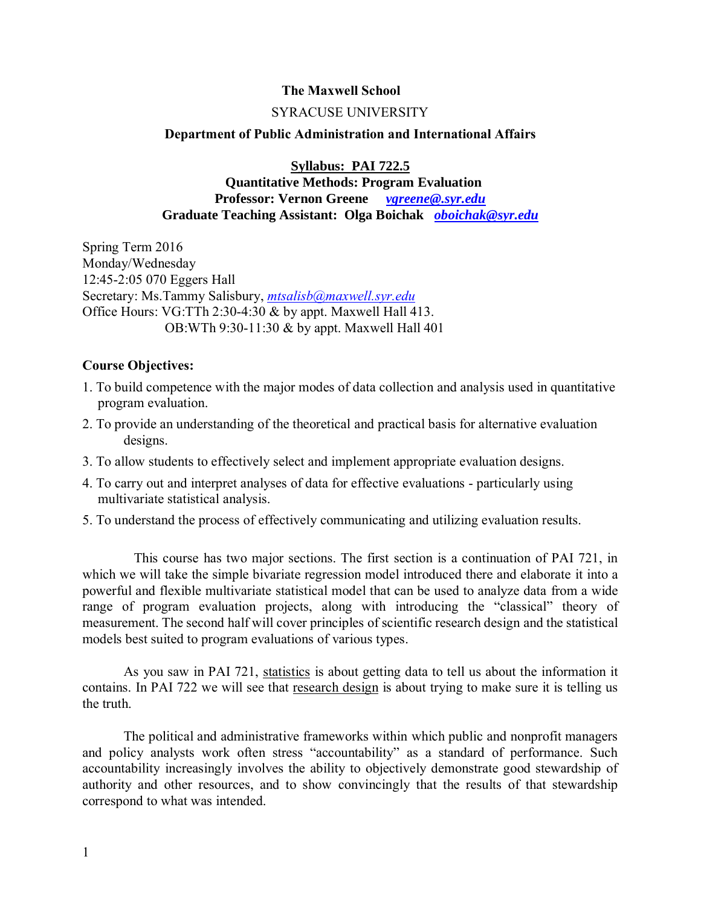## **The Maxwell School**

### SYRACUSE UNIVERSITY

### **Department of Public Administration and International Affairs**

**Syllabus: PAI 722.5**

 **Quantitative Methods: Program Evaluation Professor: Vernon Greene** *[vgreene@.syr.edu](mailto:vgreene@.syr.edu)* **Graduate Teaching Assistant: Olga Boichak** *[oboichak@syr.edu](mailto:oboichak@syr.edu)*

Spring Term 2016 Monday/Wednesday 12:45-2:05 070 Eggers Hall Secretary: Ms.Tammy Salisbury, *[mtsalisb@maxwell.syr.edu](mailto:mtsalisb@maxwell.syr.edu)* Office Hours: VG:TTh 2:30-4:30 & by appt. Maxwell Hall 413. OB:WTh 9:30-11:30 & by appt. Maxwell Hall 401

## **Course Objectives:**

- 1. To build competence with the major modes of data collection and analysis used in quantitative program evaluation.
- 2. To provide an understanding of the theoretical and practical basis for alternative evaluation designs.
- 3. To allow students to effectively select and implement appropriate evaluation designs.
- 4. To carry out and interpret analyses of data for effective evaluations particularly using multivariate statistical analysis.
- 5. To understand the process of effectively communicating and utilizing evaluation results.

 This course has two major sections. The first section is a continuation of PAI 721, in which we will take the simple bivariate regression model introduced there and elaborate it into a powerful and flexible multivariate statistical model that can be used to analyze data from a wide range of program evaluation projects, along with introducing the "classical" theory of measurement. The second half will cover principles of scientific research design and the statistical models best suited to program evaluations of various types.

As you saw in PAI 721, statistics is about getting data to tell us about the information it contains. In PAI 722 we will see that research design is about trying to make sure it is telling us the truth.

The political and administrative frameworks within which public and nonprofit managers and policy analysts work often stress "accountability" as a standard of performance. Such accountability increasingly involves the ability to objectively demonstrate good stewardship of authority and other resources, and to show convincingly that the results of that stewardship correspond to what was intended.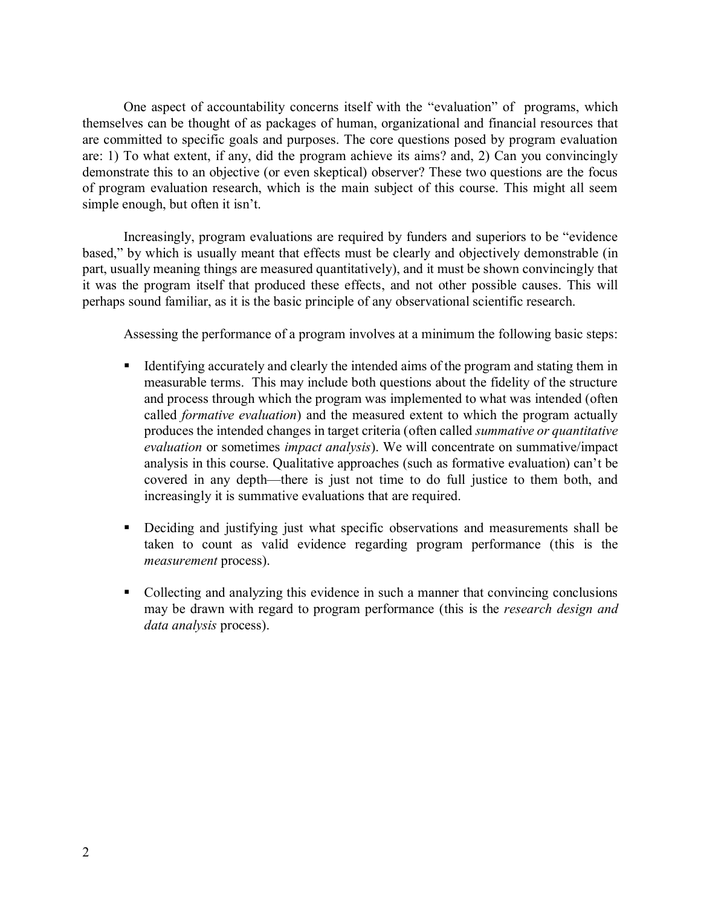One aspect of accountability concerns itself with the "evaluation" of programs, which themselves can be thought of as packages of human, organizational and financial resources that are committed to specific goals and purposes. The core questions posed by program evaluation are: 1) To what extent, if any, did the program achieve its aims? and, 2) Can you convincingly demonstrate this to an objective (or even skeptical) observer? These two questions are the focus of program evaluation research, which is the main subject of this course. This might all seem simple enough, but often it isn't.

Increasingly, program evaluations are required by funders and superiors to be "evidence based," by which is usually meant that effects must be clearly and objectively demonstrable (in part, usually meaning things are measured quantitatively), and it must be shown convincingly that it was the program itself that produced these effects, and not other possible causes. This will perhaps sound familiar, as it is the basic principle of any observational scientific research.

Assessing the performance of a program involves at a minimum the following basic steps:

- Identifying accurately and clearly the intended aims of the program and stating them in measurable terms. This may include both questions about the fidelity of the structure and process through which the program was implemented to what was intended (often called *formative evaluation*) and the measured extent to which the program actually produces the intended changes in target criteria (often called *summative or quantitative evaluation* or sometimes *impact analysis*). We will concentrate on summative/impact analysis in this course. Qualitative approaches (such as formative evaluation) can't be covered in any depth—there is just not time to do full justice to them both, and increasingly it is summative evaluations that are required.
- Deciding and justifying just what specific observations and measurements shall be taken to count as valid evidence regarding program performance (this is the *measurement* process).
- Collecting and analyzing this evidence in such a manner that convincing conclusions may be drawn with regard to program performance (this is the *research design and data analysis* process).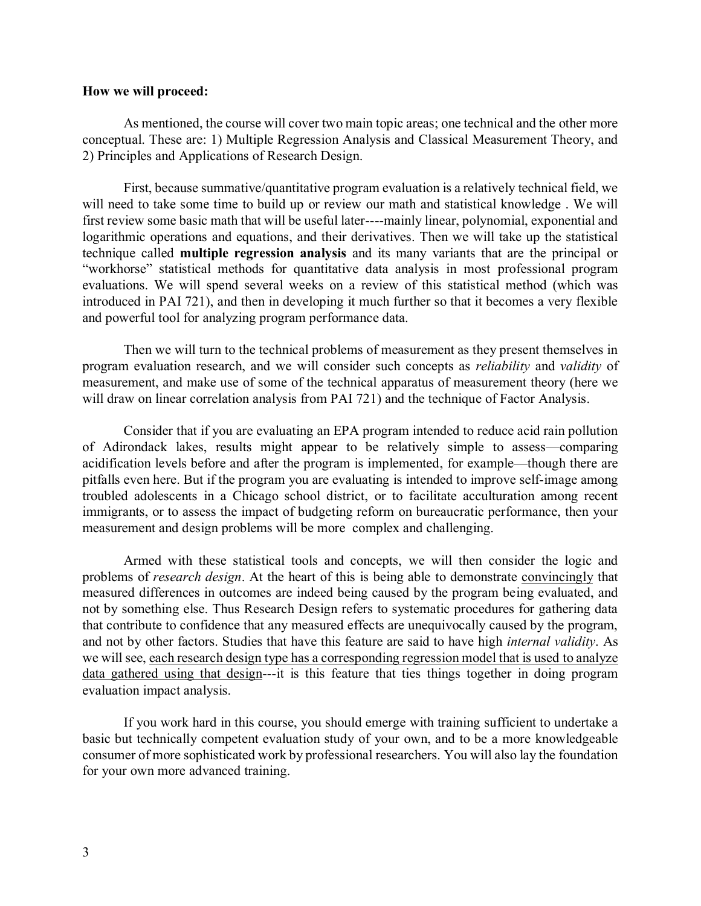### **How we will proceed:**

As mentioned, the course will cover two main topic areas; one technical and the other more conceptual. These are: 1) Multiple Regression Analysis and Classical Measurement Theory, and 2) Principles and Applications of Research Design.

First, because summative/quantitative program evaluation is a relatively technical field, we will need to take some time to build up or review our math and statistical knowledge . We will first review some basic math that will be useful later----mainly linear, polynomial, exponential and logarithmic operations and equations, and their derivatives. Then we will take up the statistical technique called **multiple regression analysis** and its many variants that are the principal or "workhorse" statistical methods for quantitative data analysis in most professional program evaluations. We will spend several weeks on a review of this statistical method (which was introduced in PAI 721), and then in developing it much further so that it becomes a very flexible and powerful tool for analyzing program performance data.

Then we will turn to the technical problems of measurement as they present themselves in program evaluation research, and we will consider such concepts as *reliability* and *validity* of measurement, and make use of some of the technical apparatus of measurement theory (here we will draw on linear correlation analysis from PAI 721) and the technique of Factor Analysis.

Consider that if you are evaluating an EPA program intended to reduce acid rain pollution of Adirondack lakes, results might appear to be relatively simple to assess—comparing acidification levels before and after the program is implemented, for example—though there are pitfalls even here. But if the program you are evaluating is intended to improve self-image among troubled adolescents in a Chicago school district, or to facilitate acculturation among recent immigrants, or to assess the impact of budgeting reform on bureaucratic performance, then your measurement and design problems will be more complex and challenging.

Armed with these statistical tools and concepts, we will then consider the logic and problems of *research design*. At the heart of this is being able to demonstrate convincingly that measured differences in outcomes are indeed being caused by the program being evaluated, and not by something else. Thus Research Design refers to systematic procedures for gathering data that contribute to confidence that any measured effects are unequivocally caused by the program, and not by other factors. Studies that have this feature are said to have high *internal validity*. As we will see, each research design type has a corresponding regression model that is used to analyze data gathered using that design---it is this feature that ties things together in doing program evaluation impact analysis.

If you work hard in this course, you should emerge with training sufficient to undertake a basic but technically competent evaluation study of your own, and to be a more knowledgeable consumer of more sophisticated work by professional researchers. You will also lay the foundation for your own more advanced training.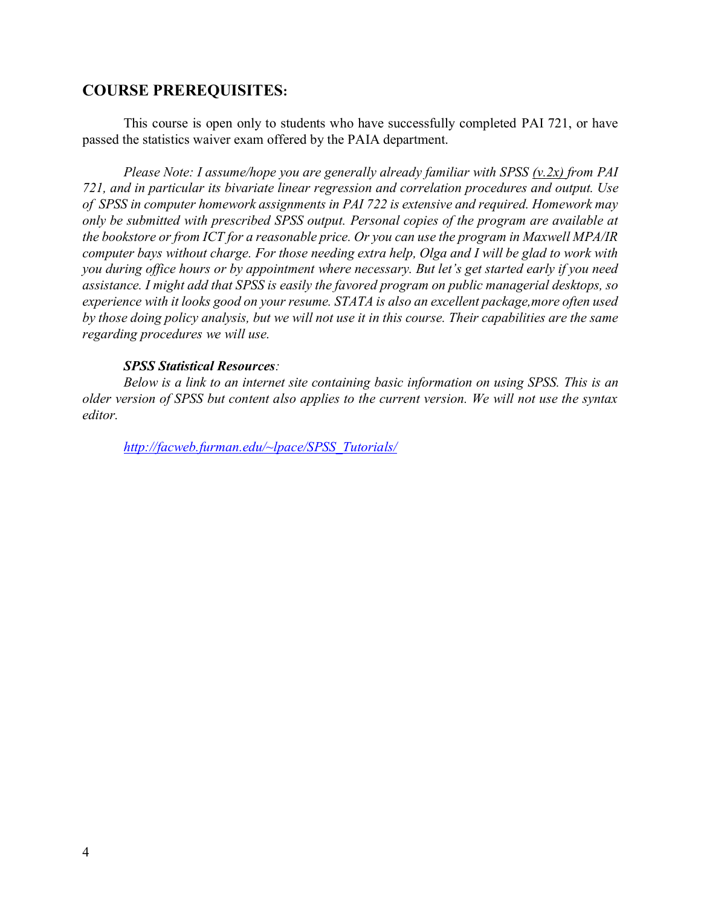# **COURSE PREREQUISITES:**

This course is open only to students who have successfully completed PAI 721, or have passed the statistics waiver exam offered by the PAIA department.

*Please Note: I assume/hope you are generally already familiar with SPSS (v.2x) from PAI 721, and in particular its bivariate linear regression and correlation procedures and output. Use of SPSS in computer homework assignments in PAI 722 is extensive and required. Homework may only be submitted with prescribed SPSS output. Personal copies of the program are available at the bookstore or from ICT for a reasonable price. Or you can use the program in Maxwell MPA/IR computer bays without charge. For those needing extra help, Olga and I will be glad to work with you during office hours or by appointment where necessary. But let's get started early if you need assistance. I might add that SPSS is easily the favored program on public managerial desktops, so experience with it looks good on your resume. STATA is also an excellent package,more often used by those doing policy analysis, but we will not use it in this course. Their capabilities are the same regarding procedures we will use.*

## *SPSS Statistical Resources:*

*Below is a link to an internet site containing basic information on using SPSS. This is an older version of SPSS but content also applies to the current version. We will not use the syntax editor.*

*[http://facweb.furman.edu/~lpace/SPSS\\_Tutorials/](http://facweb.furman.edu/~lpace/SPSS_Tutorials/)*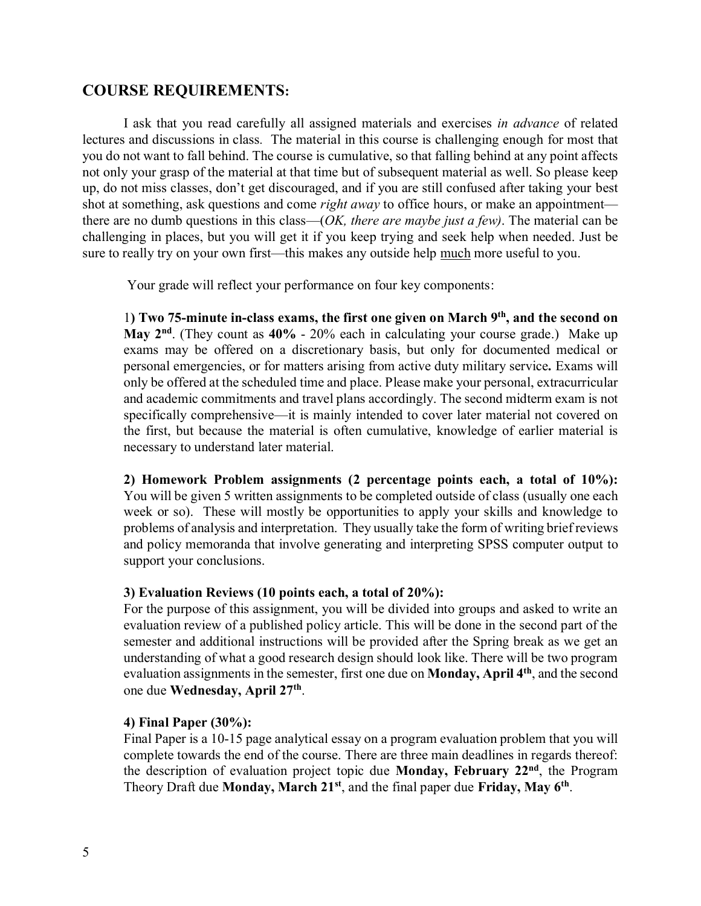## **COURSE REQUIREMENTS:**

I ask that you read carefully all assigned materials and exercises *in advance* of related lectures and discussions in class*.* The material in this course is challenging enough for most that you do not want to fall behind. The course is cumulative, so that falling behind at any point affects not only your grasp of the material at that time but of subsequent material as well. So please keep up, do not miss classes, don't get discouraged, and if you are still confused after taking your best shot at something, ask questions and come *right away* to office hours, or make an appointment there are no dumb questions in this class—(*OK, there are maybe just a few)*. The material can be challenging in places, but you will get it if you keep trying and seek help when needed. Just be sure to really try on your own first—this makes any outside help much more useful to you.

Your grade will reflect your performance on four key components:

1**) Two 75-minute in-class exams, the first one given on March 9 th , and the second on May 2nd** . (They count as **40%** - 20% each in calculating your course grade.) Make up exams may be offered on a discretionary basis, but only for documented medical or personal emergencies, or for matters arising from active duty military service*.* Exams will only be offered at the scheduled time and place. Please make your personal, extracurricular and academic commitments and travel plans accordingly. The second midterm exam is not specifically comprehensive—it is mainly intended to cover later material not covered on the first, but because the material is often cumulative, knowledge of earlier material is necessary to understand later material.

**2) Homework Problem assignments (2 percentage points each, a total of 10%):** You will be given 5 written assignments to be completed outside of class (usually one each week or so). These will mostly be opportunities to apply your skills and knowledge to problems of analysis and interpretation. They usually take the form of writing brief reviews and policy memoranda that involve generating and interpreting SPSS computer output to support your conclusions.

## **3) Evaluation Reviews (10 points each, a total of 20%):**

For the purpose of this assignment, you will be divided into groups and asked to write an evaluation review of a published policy article. This will be done in the second part of the semester and additional instructions will be provided after the Spring break as we get an understanding of what a good research design should look like. There will be two program evaluation assignments in the semester, first one due on **Monday, April 4th**, and the second one due **Wednesday, April 27th** .

## **4) Final Paper (30%):**

Final Paper is a 10-15 page analytical essay on a program evaluation problem that you will complete towards the end of the course. There are three main deadlines in regards thereof: the description of evaluation project topic due **Monday, February 22nd**, the Program Theory Draft due **Monday, March 21st**, and the final paper due **Friday, May 6th** .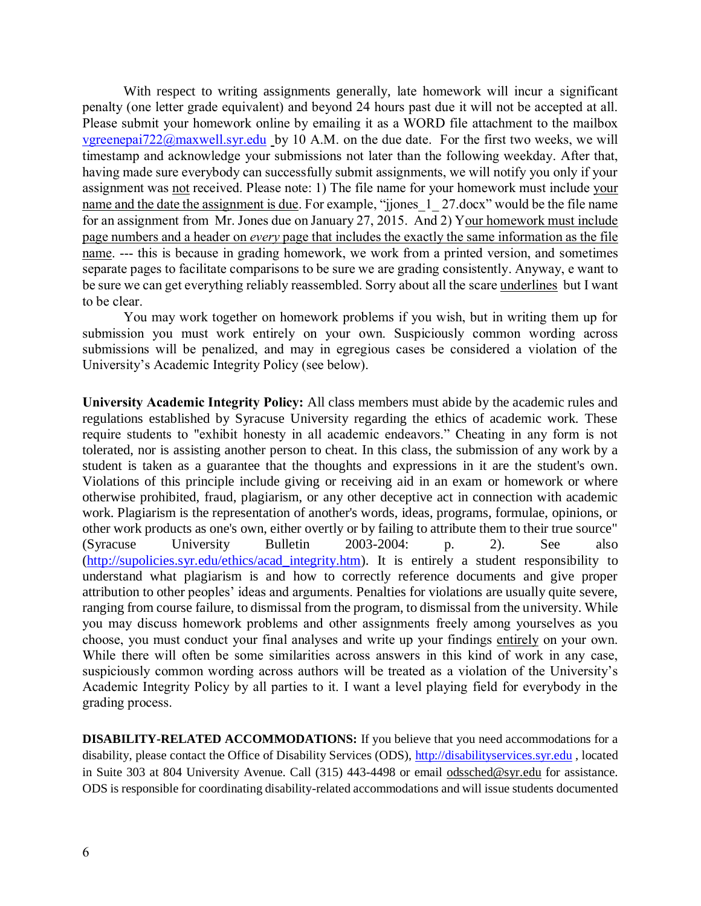With respect to writing assignments generally, late homework will incur a significant penalty (one letter grade equivalent) and beyond 24 hours past due it will not be accepted at all. Please submit your homework online by emailing it as a WORD file attachment to the mailbox [vgreenepai722@maxwell.syr.edu](mailto:vgreenepai722@maxwell.syr.edu) by 10 A.M. on the due date. For the first two weeks, we will timestamp and acknowledge your submissions not later than the following weekday. After that, having made sure everybody can successfully submit assignments, we will notify you only if your assignment was not received. Please note: 1) The file name for your homework must include your name and the date the assignment is due. For example, "jiones 1 27.docx" would be the file name for an assignment from Mr. Jones due on January 27, 2015. And 2) Your homework must include page numbers and a header on *every* page that includes the exactly the same information as the file name. --- this is because in grading homework, we work from a printed version, and sometimes separate pages to facilitate comparisons to be sure we are grading consistently. Anyway, e want to be sure we can get everything reliably reassembled. Sorry about all the scare underlines but I want to be clear.

You may work together on homework problems if you wish, but in writing them up for submission you must work entirely on your own. Suspiciously common wording across submissions will be penalized, and may in egregious cases be considered a violation of the University's Academic Integrity Policy (see below).

**University Academic Integrity Policy:** All class members must abide by the academic rules and regulations established by Syracuse University regarding the ethics of academic work. These require students to "exhibit honesty in all academic endeavors." Cheating in any form is not tolerated, nor is assisting another person to cheat. In this class, the submission of any work by a student is taken as a guarantee that the thoughts and expressions in it are the student's own. Violations of this principle include giving or receiving aid in an exam or homework or where otherwise prohibited, fraud, plagiarism, or any other deceptive act in connection with academic work. Plagiarism is the representation of another's words, ideas, programs, formulae, opinions, or other work products as one's own, either overtly or by failing to attribute them to their true source" (Syracuse University Bulletin 2003-2004: p. 2). See also [\(http://supolicies.syr.edu/ethics/acad\\_integrity.htm\)](http://supolicies.syr.edu/ethics/acad_integrity.htm). It is entirely a student responsibility to understand what plagiarism is and how to correctly reference documents and give proper attribution to other peoples' ideas and arguments. Penalties for violations are usually quite severe, ranging from course failure, to dismissal from the program, to dismissal from the university. While you may discuss homework problems and other assignments freely among yourselves as you choose, you must conduct your final analyses and write up your findings entirely on your own. While there will often be some similarities across answers in this kind of work in any case, suspiciously common wording across authors will be treated as a violation of the University's Academic Integrity Policy by all parties to it. I want a level playing field for everybody in the grading process.

**DISABILITY-RELATED ACCOMMODATIONS:** If you believe that you need accommodations for a disability, please contact the Office of Disability Services (ODS), [http://disabilityservices.syr.edu](http://disabilityservices.syr.edu/) , located in Suite 303 at 804 University Avenue. Call (315) 443-4498 or email odssched@syr.edu for assistance. ODS is responsible for coordinating disability-related accommodations and will issue students documented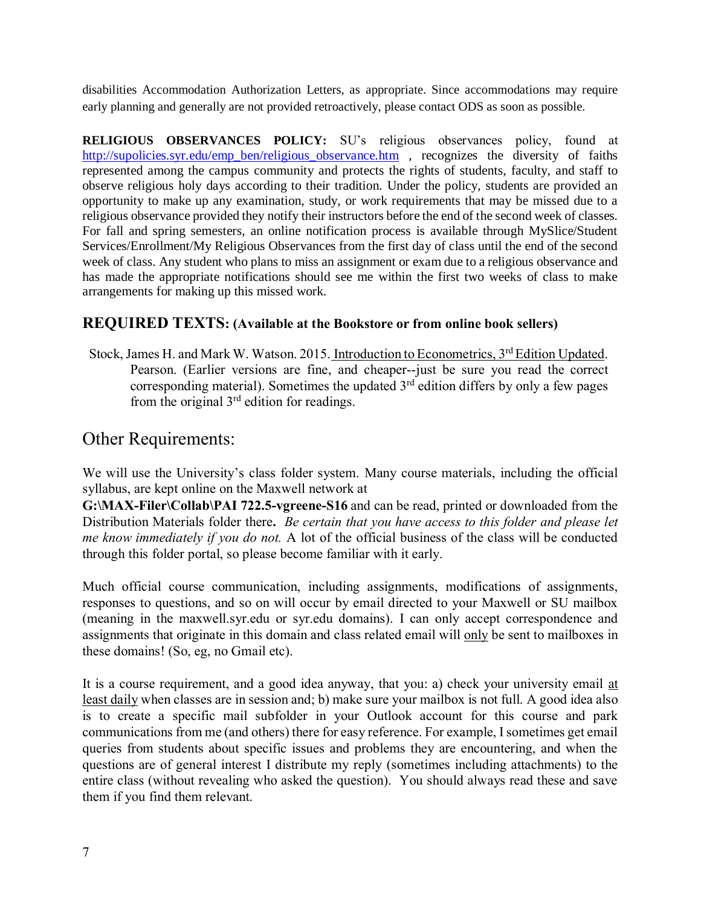disabilities Accommodation Authorization Letters, as appropriate. Since accommodations may require early planning and generally are not provided retroactively, please contact ODS as soon as possible.

**RELIGIOUS OBSERVANCES POLICY:** SU's religious observances policy, found at [http://supolicies.syr.edu/emp\\_ben/religious\\_observance.htm](http://supolicies.syr.edu/emp_ben/religious_observance.htm) , recognizes the diversity of faiths represented among the campus community and protects the rights of students, faculty, and staff to observe religious holy days according to their tradition. Under the policy, students are provided an opportunity to make up any examination, study, or work requirements that may be missed due to a religious observance provided they notify their instructors before the end of the second week of classes. For fall and spring semesters, an online notification process is available through MySlice/Student Services/Enrollment/My Religious Observances from the first day of class until the end of the second week of class. Any student who plans to miss an assignment or exam due to a religious observance and has made the appropriate notifications should see me within the first two weeks of class to make arrangements for making up this missed work.

## **REQUIRED TEXTS: (Available at the Bookstore or from online book sellers)**

Stock, James H. and Mark W. Watson. 2015. Introduction to Econometrics, 3<sup>rd</sup> Edition Updated. Pearson. (Earlier versions are fine, and cheaper--just be sure you read the correct corresponding material). Sometimes the updated  $3<sup>rd</sup>$  edition differs by only a few pages from the original  $3<sup>rd</sup>$  edition for readings.

# Other Requirements:

We will use the University's class folder system. Many course materials, including the official syllabus, are kept online on the Maxwell network at

**G:\MAX-Filer\Collab\PAI 722.5-vgreene-S16** and can be read, printed or downloaded from the Distribution Materials folder there**.** *Be certain that you have access to this folder and please let me know immediately if you do not.* A lot of the official business of the class will be conducted through this folder portal, so please become familiar with it early.

Much official course communication, including assignments, modifications of assignments, responses to questions, and so on will occur by email directed to your Maxwell or SU mailbox (meaning in the maxwell.syr.edu or syr.edu domains). I can only accept correspondence and assignments that originate in this domain and class related email will only be sent to mailboxes in these domains! (So, eg, no Gmail etc).

It is a course requirement, and a good idea anyway, that you: a) check your university email at least daily when classes are in session and; b) make sure your mailbox is not full. A good idea also is to create a specific mail subfolder in your Outlook account for this course and park communications from me (and others) there for easy reference. For example, I sometimes get email queries from students about specific issues and problems they are encountering, and when the questions are of general interest I distribute my reply (sometimes including attachments) to the entire class (without revealing who asked the question). You should always read these and save them if you find them relevant.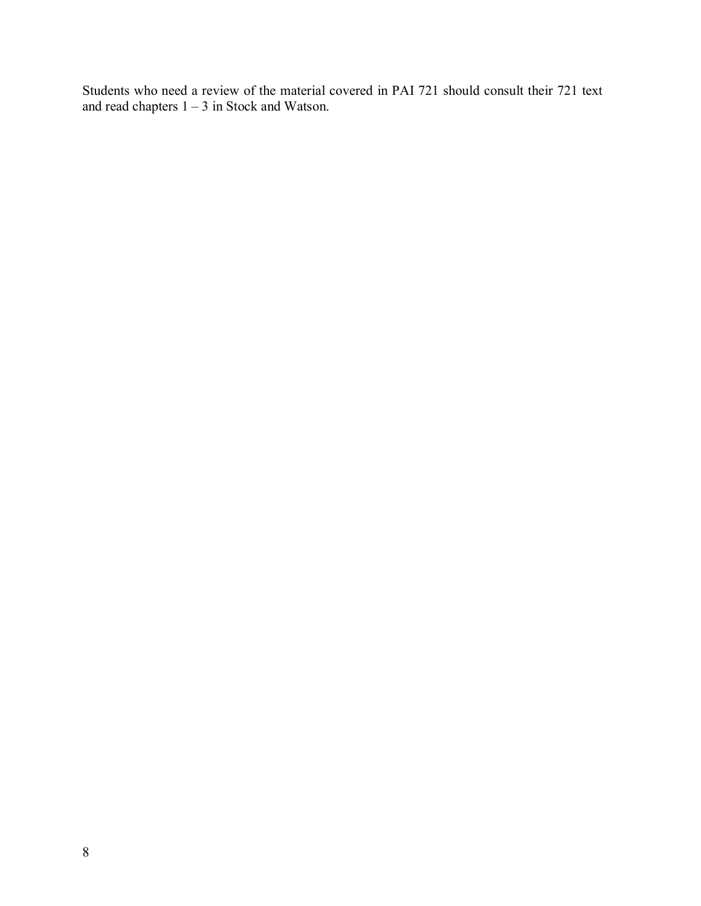Students who need a review of the material covered in PAI 721 should consult their 721 text and read chapters  $1 - 3$  in Stock and Watson.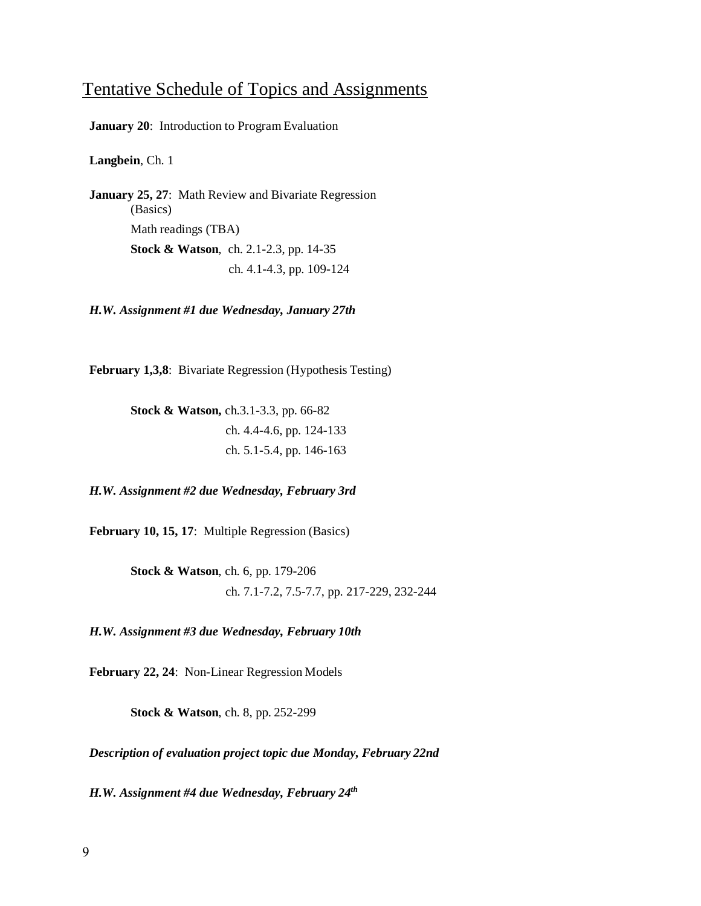# Tentative Schedule of Topics and Assignments

**January 20**: Introduction to Program Evaluation

**Langbein**, Ch. 1

**January 25, 27**: Math Review and Bivariate Regression (Basics) Math readings (TBA) **Stock & Watson**, ch. 2.1-2.3, pp. 14-35 ch. 4.1-4.3, pp. 109-124

*H.W. Assignment #1 due Wednesday, January 27th*

**February 1,3,8**: Bivariate Regression (Hypothesis Testing)

**Stock & Watson,** ch.3.1-3.3, pp. 66-82 ch. 4.4-4.6, pp. 124-133 ch. 5.1-5.4, pp. 146-163

*H.W. Assignment #2 due Wednesday, February 3rd*

**February 10, 15, 17**: Multiple Regression (Basics)

**Stock & Watson**, ch. 6, pp. 179-206 ch. 7.1-7.2, 7.5-7.7, pp. 217-229, 232-244

*H.W. Assignment #3 due Wednesday, February 10th*

**February 22, 24**: Non-Linear Regression Models

**Stock & Watson**, ch. 8, pp. 252-299

*Description of evaluation project topic due Monday, February 22nd*

*H.W. Assignment #4 due Wednesday, February 24th*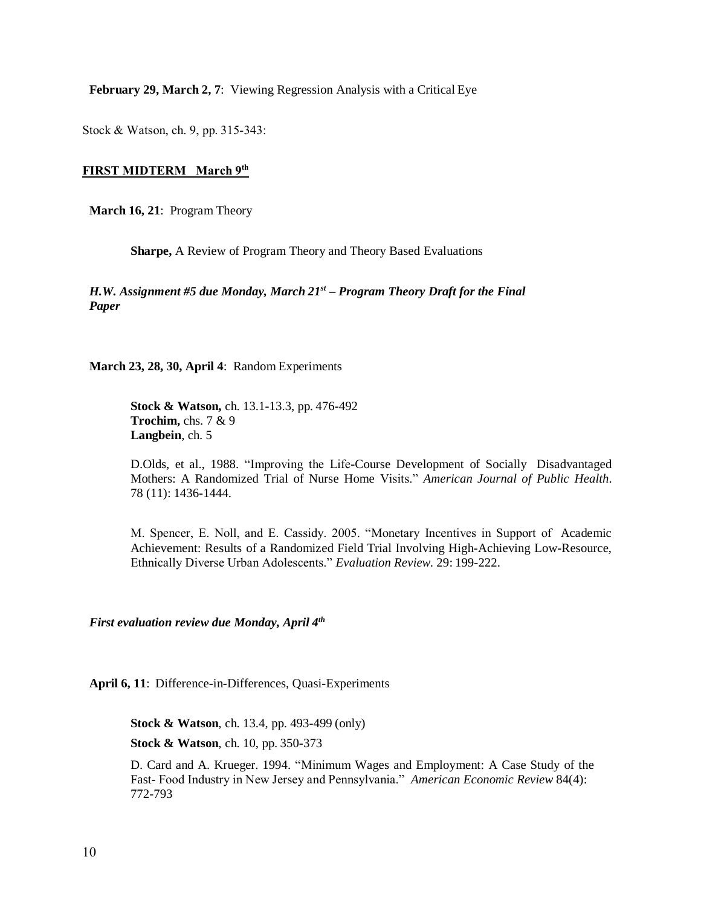**February 29, March 2, 7**: Viewing Regression Analysis with a Critical Eye

Stock & Watson, ch. 9, pp. 315-343:

### **FIRST MIDTERM March 9 th**

**March 16, 21**: Program Theory

**Sharpe,** A Review of Program Theory and Theory Based Evaluations

*H.W. Assignment #5 due Monday, March 21st – Program Theory Draft for the Final Paper*

**March 23, 28, 30, April 4**: Random Experiments

**Stock & Watson,** ch. 13.1-13.3, pp. 476-492 **Trochim,** chs. 7 & 9 **Langbein**, ch. 5

D.Olds, et al., 1988. "Improving the Life-Course Development of Socially Disadvantaged Mothers: A Randomized Trial of Nurse Home Visits." *American Journal of Public Health*. 78 (11): 1436-1444.

M. Spencer, E. Noll, and E. Cassidy. 2005. "Monetary Incentives in Support of Academic Achievement: Results of a Randomized Field Trial Involving High-Achieving Low-Resource, Ethnically Diverse Urban Adolescents." *Evaluation Review*. 29: 199-222.

*First evaluation review due Monday, April 4 th*

**April 6, 11**: Difference-in-Differences, Quasi-Experiments

**Stock & Watson**, ch. 13.4, pp. 493-499 (only)

**Stock & Watson**, ch. 10, pp. 350-373

D. Card and A. Krueger. 1994. "Minimum Wages and Employment: A Case Study of the Fast- Food Industry in New Jersey and Pennsylvania." *American Economic Review* 84(4): 772-793